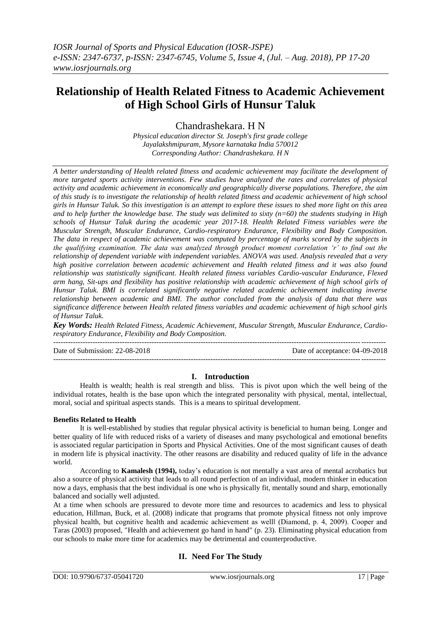# **Relationship of Health Related Fitness to Academic Achievement of High School Girls of Hunsur Taluk**

Chandrashekara. H N

*Physical education director St. Joseph's first grade college Jayalakshmipuram, Mysore karnataka India 570012 Corresponding Author: Chandrashekara. H N*

*A better understanding of Health related fitness and academic achievement may facilitate the development of more targeted sports activity interventions. Few studies have analyzed the rates and correlates of physical activity and academic achievement in economically and geographically diverse populations. Therefore, the aim of this study is to investigate the relationship of health related fitness and academic achievement of high school girls in Hunsur Taluk. So this investigation is an attempt to explore these issues to shed more light on this area and to help further the knowledge base. The study was delimited to sixty (n=60) the students studying in High schools of Hunsur Taluk during the academic year 2017-18. Health Related Fitness variables were the Muscular Strength, Muscular Endurance, Cardio-respiratory Endurance, Flexibility and Body Composition. The data in respect of academic achievement was computed by percentage of marks scored by the subjects in the qualifying examination. The data was analyzed through product moment correlation 'r' to find out the relationship of dependent variable with independent variables. ANOVA was used. Analysis revealed that a very high positive correlation between academic achievement and Health related fitness and it was also found relationship was statistically significant. Health related fitness variables Cardio-vascular Endurance, Flexed arm hang, Sit-ups and flexibility has positive relationship with academic achievement of high school girls of Hunsur Taluk. BMI is correlated significantly negative related academic achievement indicating inverse relationship between academic and BMI. The author concluded from the analysis of data that there was significance difference between Health related fitness variables and academic achievement of high school girls of Hunsur Taluk.*

*Key Words: Health Related Fitness, Academic Achievement, Muscular Strength, Muscular Endurance, Cardiorespiratory Endurance, Flexibility and Body Composition.*  ---------------------------------------------------------------------------------------------------------------------------------------

Date of Submission: 22-08-2018 Date of acceptance: 04-09-2018 ---------------------------------------------------------------------------------------------------------------------------------------

## **I. Introduction**

Health is wealth; health is real strength and bliss. This is pivot upon which the well being of the individual rotates, health is the base upon which the integrated personality with physical, mental, intellectual, moral, social and spiritual aspects stands. This is a means to spiritual development.

## **Benefits Related to Health**

It is well-established by studies that regular physical activity is beneficial to human being. Longer and better quality of life with reduced risks of a variety of diseases and many psychological and emotional benefits is associated regular participation in Sports and Physical Activities. One of the most significant causes of death in modern life is physical inactivity. The other reasons are disability and reduced quality of life in the advance world.

According to **Kamalesh (1994),** today"s education is not mentally a vast area of mental acrobatics but also a source of physical activity that leads to all round perfection of an individual, modern thinker in education now a days, emphasis that the best individual is one who is physically fit, mentally sound and sharp, emotionally balanced and socially well adjusted.

At a time when schools are pressured to devote more time and resources to academics and less to physical education, Hillman, Buck, et al. (2008) indicate that programs that promote physical fitness not only improve physical health, but cognitive health and academic achievement as well‖ (Diamond, p. 4, 2009). Cooper and Taras (2003) proposed, "Health and achievement go hand in hand" (p. 23). Eliminating physical education from our schools to make more time for academics may be detrimental and counterproductive.

## **II. Need For The Study**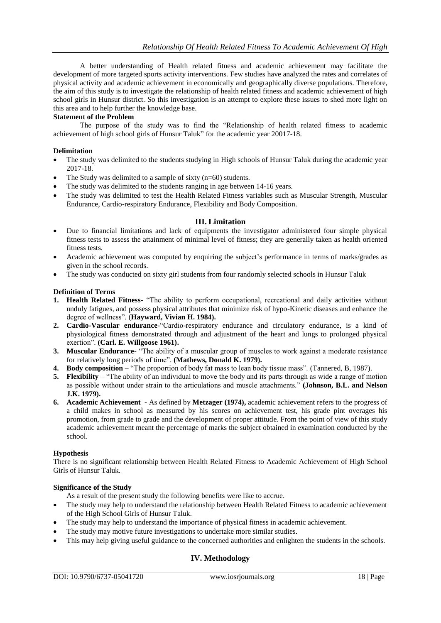A better understanding of Health related fitness and academic achievement may facilitate the development of more targeted sports activity interventions. Few studies have analyzed the rates and correlates of physical activity and academic achievement in economically and geographically diverse populations. Therefore, the aim of this study is to investigate the relationship of health related fitness and academic achievement of high school girls in Hunsur district. So this investigation is an attempt to explore these issues to shed more light on this area and to help further the knowledge base.

## **Statement of the Problem**

The purpose of the study was to find the "Relationship of health related fitness to academic achievement of high school girls of Hunsur Taluk" for the academic year 20017-18.

### **Delimitation**

- The study was delimited to the students studying in High schools of Hunsur Taluk during the academic year 2017-18.
- The Study was delimited to a sample of sixty (n=60) students.
- The study was delimited to the students ranging in age between 14-16 years.
- The study was delimited to test the Health Related Fitness variables such as Muscular Strength, Muscular Endurance, Cardio-respiratory Endurance, Flexibility and Body Composition.

### **III. Limitation**

- Due to financial limitations and lack of equipments the investigator administered four simple physical fitness tests to assess the attainment of minimal level of fitness; they are generally taken as health oriented fitness tests.
- Academic achievement was computed by enquiring the subject's performance in terms of marks/grades as given in the school records.
- The study was conducted on sixty girl students from four randomly selected schools in Hunsur Taluk

### **Definition of Terms**

- **1. Health Related Fitness-** "The ability to perform occupational, recreational and daily activities without unduly fatigues, and possess physical attributes that minimize risk of hypo-Kinetic diseases and enhance the degree of wellness". (**Hayward, Vivian H. 1984).**
- **2. Cardio-Vascular endurance**-"Cardio-respiratory endurance and circulatory endurance, is a kind of physiological fitness demonstrated through and adjustment of the heart and lungs to prolonged physical exertion". **(Carl. E. Willgoose 1961).**
- **3. Muscular Endurance** "The ability of a muscular group of muscles to work against a moderate resistance for relatively long periods of time". **(Mathews, Donald K. 1979).**
- **4. Body composition** "The proportion of body fat mass to lean body tissue mass". (Tannered, B, 1987).
- **5. Flexibility** "The ability of an individual to move the body and its parts through as wide a range of motion as possible without under strain to the articulations and muscle attachments." **(Johnson, B.L. and Nelson J.K. 1979).**
- **6. Academic Achievement -** As defined by **Metzager (1974),** academic achievement refers to the progress of a child makes in school as measured by his scores on achievement test, his grade pint overages his promotion, from grade to grade and the development of proper attitude. From the point of view of this study academic achievement meant the percentage of marks the subject obtained in examination conducted by the school.

#### **Hypothesis**

There is no significant relationship between Health Related Fitness to Academic Achievement of High School Girls of Hunsur Taluk.

#### **Significance of the Study**

As a result of the present study the following benefits were like to accrue.

- The study may help to understand the relationship between Health Related Fitness to academic achievement of the High School Girls of Hunsur Taluk.
- The study may help to understand the importance of physical fitness in academic achievement.
- The study may motive future investigations to undertake more similar studies.
- This may help giving useful guidance to the concerned authorities and enlighten the students in the schools.

## **IV. Methodology**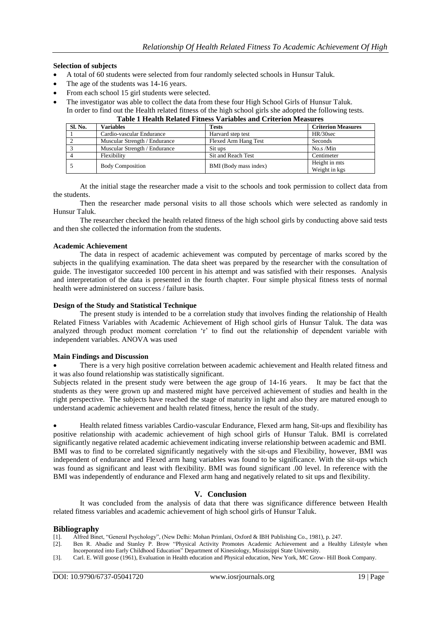#### **Selection of subjects**

- A total of 60 students were selected from four randomly selected schools in Hunsur Taluk.
- The age of the students was 14-16 years.
- From each school 15 girl students were selected.
- The investigator was able to collect the data from these four High School Girls of Hunsur Taluk.
- In order to find out the Health related fitness of the high school girls she adopted the following tests.

## **Table 1 Health Related Fitness Variables and Criterion Measures**

| <b>Sl. No.</b> | <b>Variables</b>              | <b>Tests</b>          | <b>Criterion Measures</b>      |
|----------------|-------------------------------|-----------------------|--------------------------------|
|                | Cardio-vascular Endurance     | Harvard step test     | HR/30sec                       |
|                | Muscular Strength / Endurance | Flexed Arm Hang Test  | Seconds                        |
|                | Muscular Strength / Endurance | Sit ups               | No.s/Min                       |
|                | Flexibility                   | Sit and Reach Test    | Centimeter                     |
|                | <b>Body Composition</b>       | BMI (Body mass index) | Height in mts<br>Weight in kgs |

At the initial stage the researcher made a visit to the schools and took permission to collect data from the students.

Then the researcher made personal visits to all those schools which were selected as randomly in Hunsur Taluk.

The researcher checked the health related fitness of the high school girls by conducting above said tests and then she collected the information from the students.

#### **Academic Achievement**

The data in respect of academic achievement was computed by percentage of marks scored by the subjects in the qualifying examination. The data sheet was prepared by the researcher with the consultation of guide. The investigator succeeded 100 percent in his attempt and was satisfied with their responses. Analysis and interpretation of the data is presented in the fourth chapter. Four simple physical fitness tests of normal health were administered on success / failure basis.

#### **Design of the Study and Statistical Technique**

The present study is intended to be a correlation study that involves finding the relationship of Health Related Fitness Variables with Academic Achievement of High school girls of Hunsur Taluk. The data was analyzed through product moment correlation "r" to find out the relationship of dependent variable with independent variables. ANOVA was used

#### **Main Findings and Discussion**

 There is a very high positive correlation between academic achievement and Health related fitness and it was also found relationship was statistically significant.

Subjects related in the present study were between the age group of 14-16 years. It may be fact that the students as they were grown up and mastered might have perceived achievement of studies and health in the right perspective. The subjects have reached the stage of maturity in light and also they are matured enough to understand academic achievement and health related fitness, hence the result of the study.

 Health related fitness variables Cardio-vascular Endurance, Flexed arm hang, Sit-ups and flexibility has positive relationship with academic achievement of high school girls of Hunsur Taluk. BMI is correlated significantly negative related academic achievement indicating inverse relationship between academic and BMI. BMI was to find to be correlated significantly negatively with the sit-ups and Flexibility, however, BMI was independent of endurance and Flexed arm hang variables was found to be significance. With the sit-ups which was found as significant and least with flexibility. BMI was found significant .00 level. In reference with the BMI was independently of endurance and Flexed arm hang and negatively related to sit ups and flexibility.

## **V. Conclusion**

It was concluded from the analysis of data that there was significance difference between Health related fitness variables and academic achievement of high school girls of Hunsur Taluk.

#### **Bibliography**

[1]. Alfred Binet, "General Psychology", (New Delhi: Mohan Primlani, Oxford & IBH Publishing Co., 1981), p. 247.

[3]. Carl. E. Will goose (1961), Evaluation in Health education and Physical education, New York, MC Grow- Hill Book Company.

<sup>[2].</sup> Ben R. Abadie and Stanley P. Brow "Physical Activity Promotes Academic Achievement and a Healthy Lifestyle when Incorporated into Early Childhood Education" Department of Kinesiology, Mississippi State University.